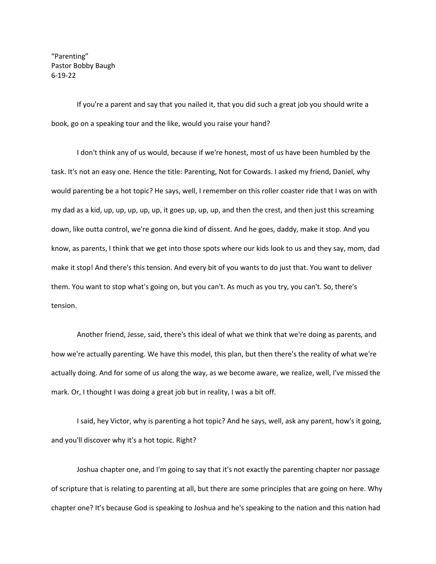"Parenting" Pastor Bobby Baugh 6-19-22

If you're a parent and say that you nailed it, that you did such a great job you should write a book, go on a speaking tour and the like, would you raise your hand?

I don't think any of us would, because if we're honest, most of us have been humbled by the task. It's not an easy one. Hence the title: Parenting, Not for Cowards. I asked my friend, Daniel, why would parenting be a hot topic? He says, well, I remember on this roller coaster ride that I was on with my dad as a kid, up, up, up, up, up, it goes up, up, up, and then the crest, and then just this screaming down, like outta control, we're gonna die kind of dissent. And he goes, daddy, make it stop. And you know, as parents, I think that we get into those spots where our kids look to us and they say, mom, dad make it stop! And there's this tension. And every bit of you wants to do just that. You want to deliver them. You want to stop what's going on, but you can't. As much as you try, you can't. So, there's tension.

Another friend, Jesse, said, there's this ideal of what we think that we're doing as parents, and how we're actually parenting. We have this model, this plan, but then there's the reality of what we're actually doing. And for some of us along the way, as we become aware, we realize, well, I've missed the mark. Or, I thought I was doing a great job but in reality, I was a bit off.

I said, hey Victor, why is parenting a hot topic? And he says, well, ask any parent, how's it going, and you'll discover why it's a hot topic. Right?

Joshua chapter one, and I'm going to say that it's not exactly the parenting chapter nor passage of scripture that is relating to parenting at all, but there are some principles that are going on here. Why chapter one? It's because God is speaking to Joshua and he's speaking to the nation and this nation had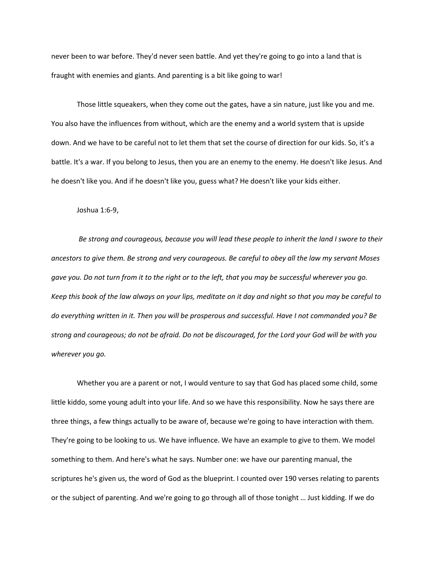never been to war before. They'd never seen battle. And yet they're going to go into a land that is fraught with enemies and giants. And parenting is a bit like going to war!

Those little squeakers, when they come out the gates, have a sin nature, just like you and me. You also have the influences from without, which are the enemy and a world system that is upside down. And we have to be careful not to let them that set the course of direction for our kids. So, it's a battle. It's a war. If you belong to Jesus, then you are an enemy to the enemy. He doesn't like Jesus. And he doesn't like you. And if he doesn't like you, guess what? He doesn't like your kids either.

Joshua 1:6-9,

*Be strong and courageous, because you will lead these people to inherit the land I swore to their ancestors to give them. Be strong and very courageous. Be careful to obey all the law my servant Moses gave you. Do not turn from it to the right or to the left, that you may be successful wherever you go. Keep this book of the law always on your lips, meditate on it day and night so that you may be careful to do everything written in it. Then you will be prosperous and successful. Have I not commanded you? Be strong and courageous; do not be afraid. Do not be discouraged, for the Lord your God will be with you wherever you go.* 

Whether you are a parent or not, I would venture to say that God has placed some child, some little kiddo, some young adult into your life. And so we have this responsibility. Now he says there are three things, a few things actually to be aware of, because we're going to have interaction with them. They're going to be looking to us. We have influence. We have an example to give to them. We model something to them. And here's what he says. Number one: we have our parenting manual, the scriptures he's given us, the word of God as the blueprint. I counted over 190 verses relating to parents or the subject of parenting. And we're going to go through all of those tonight … Just kidding. If we do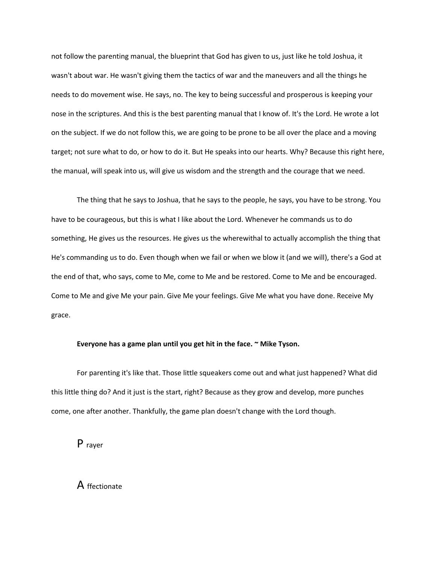not follow the parenting manual, the blueprint that God has given to us, just like he told Joshua, it wasn't about war. He wasn't giving them the tactics of war and the maneuvers and all the things he needs to do movement wise. He says, no. The key to being successful and prosperous is keeping your nose in the scriptures. And this is the best parenting manual that I know of. It's the Lord. He wrote a lot on the subject. If we do not follow this, we are going to be prone to be all over the place and a moving target; not sure what to do, or how to do it. But He speaks into our hearts. Why? Because this right here, the manual, will speak into us, will give us wisdom and the strength and the courage that we need.

The thing that he says to Joshua, that he says to the people, he says, you have to be strong. You have to be courageous, but this is what I like about the Lord. Whenever he commands us to do something, He gives us the resources. He gives us the wherewithal to actually accomplish the thing that He's commanding us to do. Even though when we fail or when we blow it (and we will), there's a God at the end of that, who says, come to Me, come to Me and be restored. Come to Me and be encouraged. Come to Me and give Me your pain. Give Me your feelings. Give Me what you have done. Receive My grace.

## **Everyone has a game plan until you get hit in the face. ~ Mike Tyson.**

For parenting it's like that. Those little squeakers come out and what just happened? What did this little thing do? And it just is the start, right? Because as they grow and develop, more punches come, one after another. Thankfully, the game plan doesn't change with the Lord though.

P rayer

A ffectionate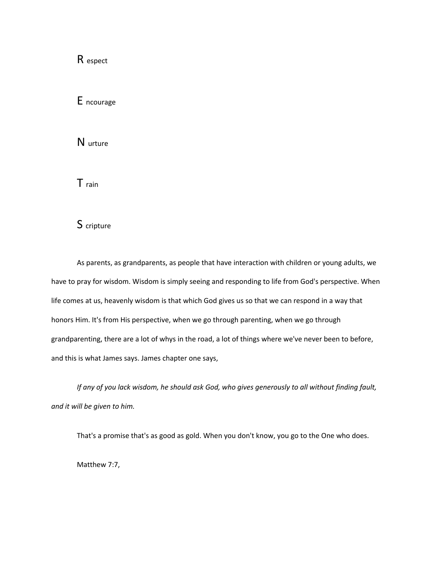R espect

E ncourage

N urture

T rain

S cripture

As parents, as grandparents, as people that have interaction with children or young adults, we have to pray for wisdom. Wisdom is simply seeing and responding to life from God's perspective. When life comes at us, heavenly wisdom is that which God gives us so that we can respond in a way that honors Him. It's from His perspective, when we go through parenting, when we go through grandparenting, there are a lot of whys in the road, a lot of things where we've never been to before, and this is what James says. James chapter one says,

*If any of you lack wisdom, he should ask God, who gives generously to all without finding fault, and it will be given to him.* 

That's a promise that's as good as gold. When you don't know, you go to the One who does.

Matthew 7:7,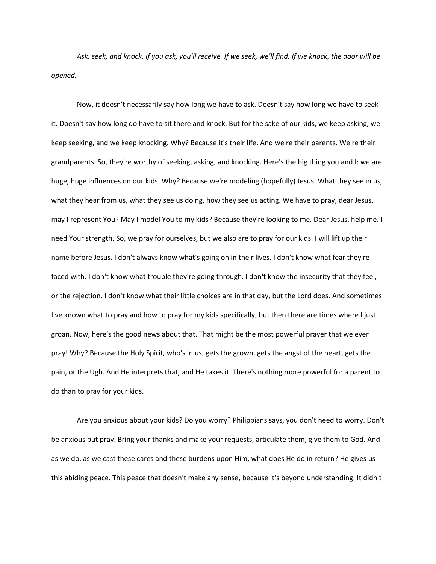*Ask, seek, and knock. If you ask, you'll receive. If we seek, we'll find. If we knock, the door will be opened.* 

Now, it doesn't necessarily say how long we have to ask. Doesn't say how long we have to seek it. Doesn't say how long do have to sit there and knock. But for the sake of our kids, we keep asking, we keep seeking, and we keep knocking. Why? Because it's their life. And we're their parents. We're their grandparents. So, they're worthy of seeking, asking, and knocking. Here's the big thing you and I: we are huge, huge influences on our kids. Why? Because we're modeling (hopefully) Jesus. What they see in us, what they hear from us, what they see us doing, how they see us acting. We have to pray, dear Jesus, may I represent You? May I model You to my kids? Because they're looking to me. Dear Jesus, help me. I need Your strength. So, we pray for ourselves, but we also are to pray for our kids. I will lift up their name before Jesus. I don't always know what's going on in their lives. I don't know what fear they're faced with. I don't know what trouble they're going through. I don't know the insecurity that they feel, or the rejection. I don't know what their little choices are in that day, but the Lord does. And sometimes I've known what to pray and how to pray for my kids specifically, but then there are times where I just groan. Now, here's the good news about that. That might be the most powerful prayer that we ever pray! Why? Because the Holy Spirit, who's in us, gets the grown, gets the angst of the heart, gets the pain, or the Ugh. And He interprets that, and He takes it. There's nothing more powerful for a parent to do than to pray for your kids.

Are you anxious about your kids? Do you worry? Philippians says, you don't need to worry. Don't be anxious but pray. Bring your thanks and make your requests, articulate them, give them to God. And as we do, as we cast these cares and these burdens upon Him, what does He do in return? He gives us this abiding peace. This peace that doesn't make any sense, because it's beyond understanding. It didn't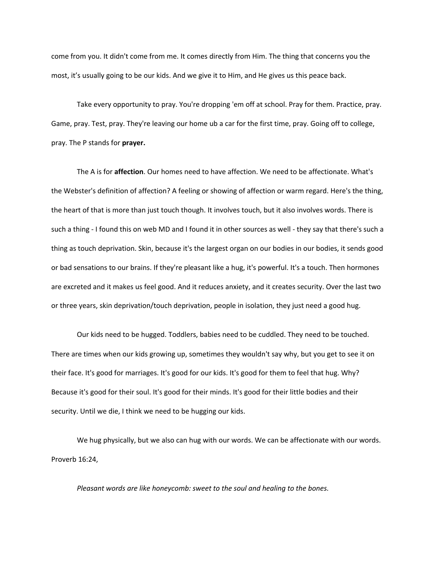come from you. It didn't come from me. It comes directly from Him. The thing that concerns you the most, it's usually going to be our kids. And we give it to Him, and He gives us this peace back.

Take every opportunity to pray. You're dropping 'em off at school. Pray for them. Practice, pray. Game, pray. Test, pray. They're leaving our home ub a car for the first time, pray. Going off to college, pray. The P stands for **prayer.**

The A is for **affection**. Our homes need to have affection. We need to be affectionate. What's the Webster's definition of affection? A feeling or showing of affection or warm regard. Here's the thing, the heart of that is more than just touch though. It involves touch, but it also involves words. There is such a thing - I found this on web MD and I found it in other sources as well - they say that there's such a thing as touch deprivation. Skin, because it's the largest organ on our bodies in our bodies, it sends good or bad sensations to our brains. If they're pleasant like a hug, it's powerful. It's a touch. Then hormones are excreted and it makes us feel good. And it reduces anxiety, and it creates security. Over the last two or three years, skin deprivation/touch deprivation, people in isolation, they just need a good hug.

Our kids need to be hugged. Toddlers, babies need to be cuddled. They need to be touched. There are times when our kids growing up, sometimes they wouldn't say why, but you get to see it on their face. It's good for marriages. It's good for our kids. It's good for them to feel that hug. Why? Because it's good for their soul. It's good for their minds. It's good for their little bodies and their security. Until we die, I think we need to be hugging our kids.

We hug physically, but we also can hug with our words. We can be affectionate with our words. Proverb 16:24,

*Pleasant words are like honeycomb: sweet to the soul and healing to the bones.*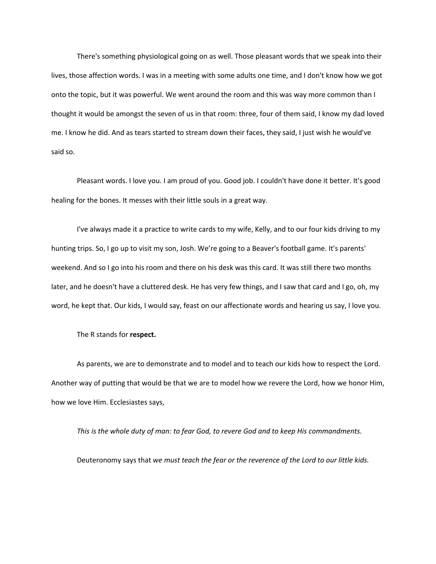There's something physiological going on as well. Those pleasant words that we speak into their lives, those affection words. I was in a meeting with some adults one time, and I don't know how we got onto the topic, but it was powerful. We went around the room and this was way more common than I thought it would be amongst the seven of us in that room: three, four of them said, I know my dad loved me. I know he did. And as tears started to stream down their faces, they said, I just wish he would've said so.

Pleasant words. I love you. I am proud of you. Good job. I couldn't have done it better. It's good healing for the bones. It messes with their little souls in a great way.

I've always made it a practice to write cards to my wife, Kelly, and to our four kids driving to my hunting trips. So, I go up to visit my son, Josh. We're going to a Beaver's football game. It's parents' weekend. And so I go into his room and there on his desk was this card. It was still there two months later, and he doesn't have a cluttered desk. He has very few things, and I saw that card and I go, oh, my word, he kept that. Our kids, I would say, feast on our affectionate words and hearing us say, I love you.

The R stands for **respect.**

As parents, we are to demonstrate and to model and to teach our kids how to respect the Lord. Another way of putting that would be that we are to model how we revere the Lord, how we honor Him, how we love Him. Ecclesiastes says,

*This is the whole duty of man: to fear God, to revere God and to keep His commandments.*

Deuteronomy says that *we must teach the fear or the reverence of the Lord to our little kids.*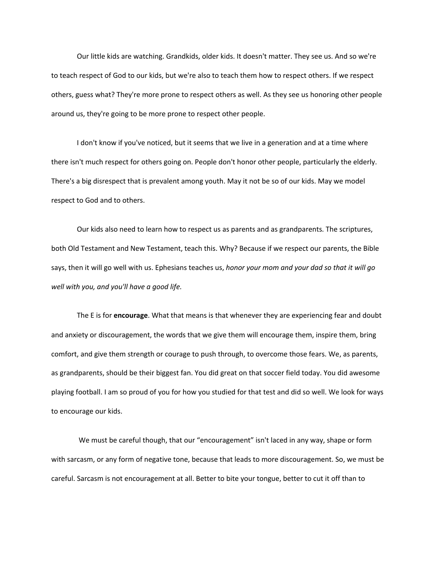Our little kids are watching. Grandkids, older kids. It doesn't matter. They see us. And so we're to teach respect of God to our kids, but we're also to teach them how to respect others. If we respect others, guess what? They're more prone to respect others as well. As they see us honoring other people around us, they're going to be more prone to respect other people.

I don't know if you've noticed, but it seems that we live in a generation and at a time where there isn't much respect for others going on. People don't honor other people, particularly the elderly. There's a big disrespect that is prevalent among youth. May it not be so of our kids. May we model respect to God and to others.

Our kids also need to learn how to respect us as parents and as grandparents. The scriptures, both Old Testament and New Testament, teach this. Why? Because if we respect our parents, the Bible says, then it will go well with us. Ephesians teaches us, *honor your mom and your dad so that it will go well with you, and you'll have a good life.* 

The E is for **encourage**. What that means is that whenever they are experiencing fear and doubt and anxiety or discouragement, the words that we give them will encourage them, inspire them, bring comfort, and give them strength or courage to push through, to overcome those fears. We, as parents, as grandparents, should be their biggest fan. You did great on that soccer field today. You did awesome playing football. I am so proud of you for how you studied for that test and did so well. We look for ways to encourage our kids.

We must be careful though, that our "encouragement" isn't laced in any way, shape or form with sarcasm, or any form of negative tone, because that leads to more discouragement. So, we must be careful. Sarcasm is not encouragement at all. Better to bite your tongue, better to cut it off than to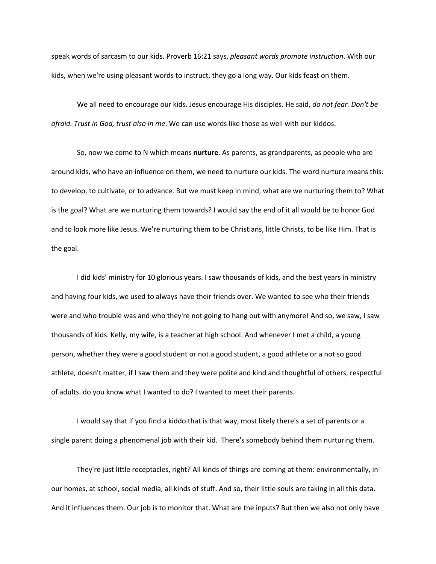speak words of sarcasm to our kids. Proverb 16:21 says, *pleasant words promote instruction*. With our kids, when we're using pleasant words to instruct, they go a long way. Our kids feast on them.

We all need to encourage our kids. Jesus encourage His disciples. He said, *do not fear. Don't be afraid. Trust in God, trust also in me*. We can use words like those as well with our kiddos.

So, now we come to N which means **nurture**. As parents, as grandparents, as people who are around kids, who have an influence on them, we need to nurture our kids. The word nurture means this: to develop, to cultivate, or to advance. But we must keep in mind, what are we nurturing them to? What is the goal? What are we nurturing them towards? I would say the end of it all would be to honor God and to look more like Jesus. We're nurturing them to be Christians, little Christs, to be like Him. That is the goal.

I did kids' ministry for 10 glorious years. I saw thousands of kids, and the best years in ministry and having four kids, we used to always have their friends over. We wanted to see who their friends were and who trouble was and who they're not going to hang out with anymore! And so, we saw, I saw thousands of kids. Kelly, my wife, is a teacher at high school. And whenever I met a child, a young person, whether they were a good student or not a good student, a good athlete or a not so good athlete, doesn't matter, if I saw them and they were polite and kind and thoughtful of others, respectful of adults. do you know what I wanted to do? I wanted to meet their parents.

I would say that if you find a kiddo that is that way, most likely there's a set of parents or a single parent doing a phenomenal job with their kid. There's somebody behind them nurturing them.

They're just little receptacles, right? All kinds of things are coming at them: environmentally, in our homes, at school, social media, all kinds of stuff. And so, their little souls are taking in all this data. And it influences them. Our job is to monitor that. What are the inputs? But then we also not only have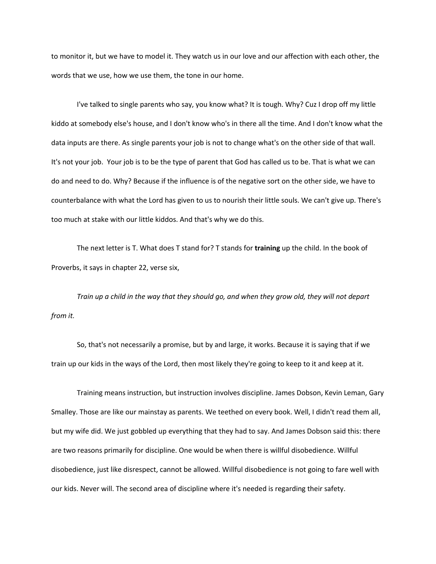to monitor it, but we have to model it. They watch us in our love and our affection with each other, the words that we use, how we use them, the tone in our home.

I've talked to single parents who say, you know what? It is tough. Why? Cuz I drop off my little kiddo at somebody else's house, and I don't know who's in there all the time. And I don't know what the data inputs are there. As single parents your job is not to change what's on the other side of that wall. It's not your job. Your job is to be the type of parent that God has called us to be. That is what we can do and need to do. Why? Because if the influence is of the negative sort on the other side, we have to counterbalance with what the Lord has given to us to nourish their little souls. We can't give up. There's too much at stake with our little kiddos. And that's why we do this.

The next letter is T. What does T stand for? T stands for **training** up the child. In the book of Proverbs, it says in chapter 22, verse six,

*Train up a child in the way that they should go, and when they grow old, they will not depart from it.* 

So, that's not necessarily a promise, but by and large, it works. Because it is saying that if we train up our kids in the ways of the Lord, then most likely they're going to keep to it and keep at it.

Training means instruction, but instruction involves discipline. James Dobson, Kevin Leman, Gary Smalley. Those are like our mainstay as parents. We teethed on every book. Well, I didn't read them all, but my wife did. We just gobbled up everything that they had to say. And James Dobson said this: there are two reasons primarily for discipline. One would be when there is willful disobedience. Willful disobedience, just like disrespect, cannot be allowed. Willful disobedience is not going to fare well with our kids. Never will. The second area of discipline where it's needed is regarding their safety.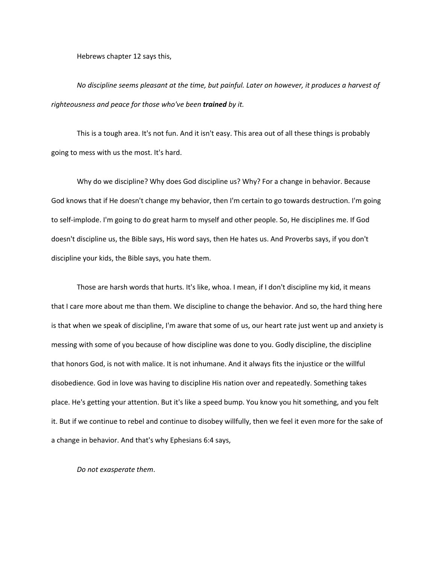Hebrews chapter 12 says this,

*No discipline seems pleasant at the time, but painful. Later on however, it produces a harvest of righteousness and peace for those who've been trained by it.* 

This is a tough area. It's not fun. And it isn't easy. This area out of all these things is probably going to mess with us the most. It's hard.

Why do we discipline? Why does God discipline us? Why? For a change in behavior. Because God knows that if He doesn't change my behavior, then I'm certain to go towards destruction. I'm going to self-implode. I'm going to do great harm to myself and other people. So, He disciplines me. If God doesn't discipline us, the Bible says, His word says, then He hates us. And Proverbs says, if you don't discipline your kids, the Bible says, you hate them.

Those are harsh words that hurts. It's like, whoa. I mean, if I don't discipline my kid, it means that I care more about me than them. We discipline to change the behavior. And so, the hard thing here is that when we speak of discipline, I'm aware that some of us, our heart rate just went up and anxiety is messing with some of you because of how discipline was done to you. Godly discipline, the discipline that honors God, is not with malice. It is not inhumane. And it always fits the injustice or the willful disobedience. God in love was having to discipline His nation over and repeatedly. Something takes place. He's getting your attention. But it's like a speed bump. You know you hit something, and you felt it. But if we continue to rebel and continue to disobey willfully, then we feel it even more for the sake of a change in behavior. And that's why Ephesians 6:4 says,

*Do not exasperate them*.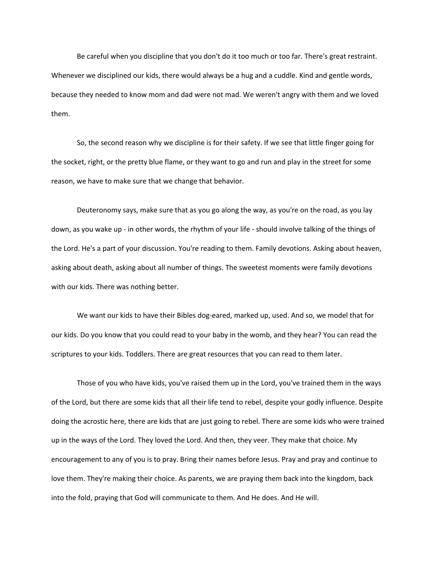Be careful when you discipline that you don't do it too much or too far. There's great restraint. Whenever we disciplined our kids, there would always be a hug and a cuddle. Kind and gentle words, because they needed to know mom and dad were not mad. We weren't angry with them and we loved them.

So, the second reason why we discipline is for their safety. If we see that little finger going for the socket, right, or the pretty blue flame, or they want to go and run and play in the street for some reason, we have to make sure that we change that behavior.

Deuteronomy says, make sure that as you go along the way, as you're on the road, as you lay down, as you wake up - in other words, the rhythm of your life - should involve talking of the things of the Lord. He's a part of your discussion. You're reading to them. Family devotions. Asking about heaven, asking about death, asking about all number of things. The sweetest moments were family devotions with our kids. There was nothing better.

We want our kids to have their Bibles dog-eared, marked up, used. And so, we model that for our kids. Do you know that you could read to your baby in the womb, and they hear? You can read the scriptures to your kids. Toddlers. There are great resources that you can read to them later.

Those of you who have kids, you've raised them up in the Lord, you've trained them in the ways of the Lord, but there are some kids that all their life tend to rebel, despite your godly influence. Despite doing the acrostic here, there are kids that are just going to rebel. There are some kids who were trained up in the ways of the Lord. They loved the Lord. And then, they veer. They make that choice. My encouragement to any of you is to pray. Bring their names before Jesus. Pray and pray and continue to love them. They're making their choice. As parents, we are praying them back into the kingdom, back into the fold, praying that God will communicate to them. And He does. And He will.